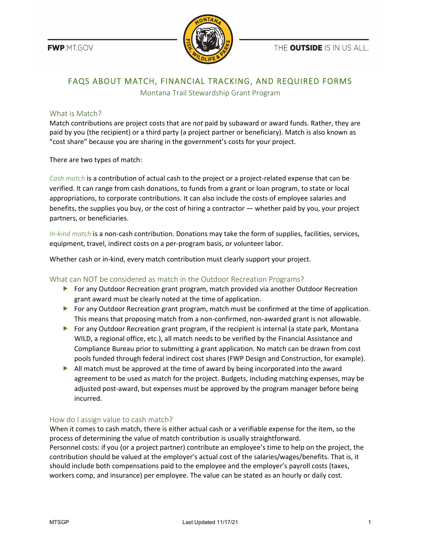FWP.MT.GOV



THE **OUTSIDE** IS IN US ALL.

# FAQS ABOUT MATCH, FINANCIAL TRACKING, AND REQUIRED FORMS

Montana Trail Stewardship Grant Program

## What is Match?

Match contributions are project costs that are *not* paid by subaward or award funds. Rather, they are paid by you (the recipient) or a third party (a project partner or beneficiary). Match is also known as "cost share" because you are sharing in the government's costs for your project.

There are two types of match:

*Cash match* is a contribution of actual cash to the project or a project-related expense that can be verified. It can range from cash donations, to funds from a grant or loan program, to state or local appropriations, to corporate contributions. It can also include the costs of employee salaries and benefits, the supplies you buy, or the cost of hiring a contractor — whether paid by you, your project partners, or beneficiaries.

*In-kind match* is a non-cash contribution. Donations may take the form of supplies, facilities, services, equipment, travel, indirect costs on a per-program basis, or volunteer labor.

Whether cash or in-kind, every match contribution must clearly support your project.

## What can NOT be considered as match in the Outdoor Recreation Programs?

- **For any Outdoor Recreation grant program, match provided via another Outdoor Recreation** grant award must be clearly noted at the time of application.
- For any Outdoor Recreation grant program, match must be confirmed at the time of application. This means that proposing match from a non-confirmed, non-awarded grant is not allowable.
- For any Outdoor Recreation grant program, if the recipient is internal (a state park, Montana WILD, a regional office, etc.), all match needs to be verified by the Financial Assistance and Compliance Bureau prior to submitting a grant application. No match can be drawn from cost pools funded through federal indirect cost shares (FWP Design and Construction, for example).
- $\blacktriangleright$  All match must be approved at the time of award by being incorporated into the award agreement to be used as match for the project. Budgets, including matching expenses, may be adjusted post-award, but expenses must be approved by the program manager before being incurred.

## How do I assign value to cash match?

When it comes to cash match, there is either actual cash or a verifiable expense for the item, so the process of determining the value of match contribution is usually straightforward. Personnel costs: if you (or a project partner) contribute an employee's time to help on the project, the contribution should be valued at the employer's actual cost of the salaries/wages/benefits. That is, it should include both compensations paid to the employee and the employer's payroll costs (taxes, workers comp, and insurance) per employee. The value can be stated as an hourly or daily cost.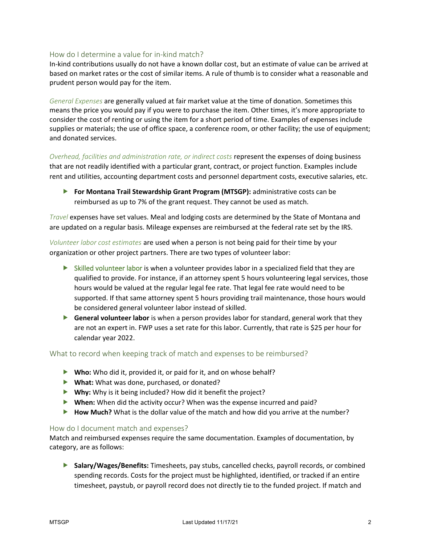### How do I determine a value for in-kind match?

In-kind contributions usually do not have a known dollar cost, but an estimate of value can be arrived at based on market rates or the cost of similar items. A rule of thumb is to consider what a reasonable and prudent person would pay for the item.

*General Expenses* are generally valued at fair market value at the time of donation. Sometimes this means the price you would pay if you were to purchase the item. Other times, it's more appropriate to consider the cost of renting or using the item for a short period of time. Examples of expenses include supplies or materials; the use of office space, a conference room, or other facility; the use of equipment; and donated services.

*Overhead, facilities and administration rate, or indirect costs* represent the expenses of doing business that are not readily identified with a particular grant, contract, or project function. Examples include rent and utilities, accounting department costs and personnel department costs, executive salaries, etc.

**For Montana Trail Stewardship Grant Program (MTSGP):** administrative costs can be reimbursed as up to 7% of the grant request. They cannot be used as match.

*Travel* expenses have set values. Meal and lodging costs are determined by the State of Montana and are updated on a regular basis. Mileage expenses are reimbursed at the federal rate set by the IRS.

*Volunteer labor cost estimates* are used when a person is not being paid for their time by your organization or other project partners. There are two types of volunteer labor:

- $\triangleright$  Skilled volunteer labor is when a volunteer provides labor in a specialized field that they are qualified to provide. For instance, if an attorney spent 5 hours volunteering legal services, those hours would be valued at the regular legal fee rate. That legal fee rate would need to be supported. If that same attorney spent 5 hours providing trail maintenance, those hours would be considered general volunteer labor instead of skilled.
- **General volunteer labor** is when a person provides labor for standard, general work that they are not an expert in. FWP uses a set rate for this labor. Currently, that rate is \$25 per hour for calendar year 2022.

### What to record when keeping track of match and expenses to be reimbursed?

- ▶ Who: Who did it, provided it, or paid for it, and on whose behalf?
- **What:** What was done, purchased, or donated?
- **Why:** Why is it being included? How did it benefit the project?
- **When:** When did the activity occur? When was the expense incurred and paid?
- ▶ **How Much?** What is the dollar value of the match and how did you arrive at the number?

### How do I document match and expenses?

Match and reimbursed expenses require the same documentation. Examples of documentation, by category, are as follows:

 **Salary/Wages/Benefits:** Timesheets, pay stubs, cancelled checks, payroll records, or combined spending records. Costs for the project must be highlighted, identified, or tracked if an entire timesheet, paystub, or payroll record does not directly tie to the funded project. If match and